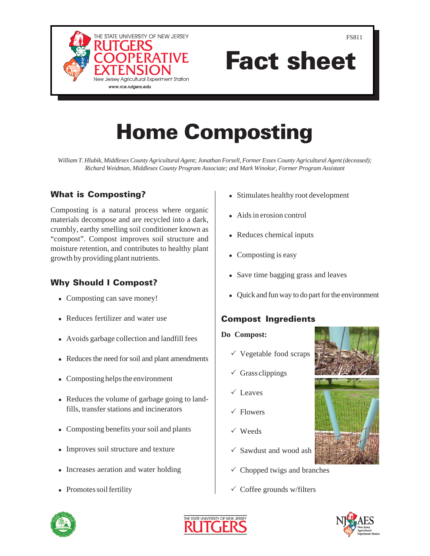

FS811

# Fact sheet

## Home Composting

*William T. Hlubik, Middlesex County Agricultural Agent; Jonathan Forsell, Former Essex County Agricultural Agent (deceased); Richard Weidman, Middlesex County Program Associate; and Mark Winokur, Former Program Assistant* 

## What is Composting?

Composting is a natural process where organic materials decompose and are recycled into a dark, crumbly, earthy smelling soil conditioner known as "compost". Compost improves soil structure and moisture retention, and contributes to healthy plant growth by providing plant nutrients.

## Why Should I Compost?

- <sup>ò</sup> Composting can save money!
- <sup>ò</sup> Reduces fertilizer and water use
- <sup>ò</sup> Avoids garbage collection and landfill fees
- <sup>ò</sup> Reduces the need for soil and plant amendments
- <sup>ò</sup> Composting helps the environment
- <sup>ò</sup> Reduces the volume of garbage going to landfills, transfer stations and incinerators
- <sup>ò</sup> Composting benefits your soil and plants
- <sup>ò</sup> Improves soil structure and texture
- Increases aeration and water holding
- <sup>ò</sup> Promotes soil fertility
- <sup>ò</sup> Stimulates healthy root development
- <sup>ò</sup> Aids in erosion control
- <sup>ò</sup> Reduces chemical inputs
- <sup>ò</sup> Composting is easy
- Save time bagging grass and leaves
- <sup>ò</sup> Quick and fun way to do part for the environment

### Compost Ingredients

#### **Do Compost:**

- $\checkmark$  Vegetable food scraps
- $\checkmark$  Grass clippings
- $\checkmark$  Leaves
- $\sqrt{\text{Flowers}}$
- $\checkmark$  Weeds
- $\checkmark$  Sawdust and wood ash
- $\checkmark$  Chopped twigs and branches
- $\checkmark$  Coffee grounds w/filters







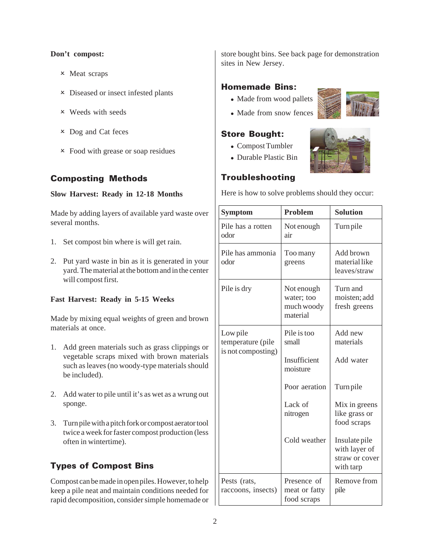#### **Don't compost:**

- $\times$  Meat scraps
- **x** Diseased or insect infested plants
- $\times$  Weeds with seeds
- $\times$  Dog and Cat feces
- **x** Food with grease or soap residues

#### Composting Methods

#### **Slow Harvest: Ready in 12-18 Months**

Made by adding layers of available yard waste over several months.

- 1. Set compost bin where is will get rain.
- 2. Put yard waste in bin as it is generated in your yard. The material at the bottom and in the center will compost first.

#### **Fast Harvest: Ready in 5-15 Weeks**

Made by mixing equal weights of green and brown materials at once.

- 1. Add green materials such as grass clippings or vegetable scraps mixed with brown materials such as leaves (no woody-type materials should be included).
- 2. Add water to pile until it's as wet as a wrung out sponge.
- 3. Turn pile with a pitch fork or compost aerator tool twice a week for faster compost production (less often in wintertime).

## Types of Compost Bins

Compost can be made in open piles. However, to help keep a pile neat and maintain conditions needed for rapid decomposition, consider simple homemade or store bought bins. See back page for demonstration sites in New Jersey.

#### Homemade Bins:

- Made from wood pallets
- <sup>ò</sup> Made from snow fences

#### Store Bought:

- <sup>ò</sup> Compost Tumbler
- <sup>ò</sup> Durable Plastic Bin



#### Troubleshooting

Here is how to solve problems should they occur:

| <b>Symptom</b>                                      | <b>Problem</b>                                     | <b>Solution</b>                                               |
|-----------------------------------------------------|----------------------------------------------------|---------------------------------------------------------------|
| Pile has a rotten<br>odor                           | Not enough<br>air                                  | Turn pile                                                     |
| Pile has ammonia<br>odor                            | Too many<br>greens                                 | Add brown<br>material like<br>leaves/straw                    |
| Pile is dry                                         | Not enough<br>water; too<br>much woody<br>material | Turn and<br>moisten; add<br>fresh greens                      |
| Low pile<br>temperature (pile<br>is not composting) | Pile is too<br>small                               | Add new<br>materials                                          |
|                                                     | Insufficient<br>moisture                           | Add water                                                     |
|                                                     | Poor aeration                                      | Turn pile                                                     |
|                                                     | Lack of<br>nitrogen                                | Mix in greens<br>like grass or<br>food scraps                 |
|                                                     | Cold weather                                       | Insulate pile<br>with layer of<br>straw or cover<br>with tarp |
| Pests (rats,<br>raccoons, insects)                  | Presence of<br>meat or fatty<br>food scraps        | Remove from<br>pile                                           |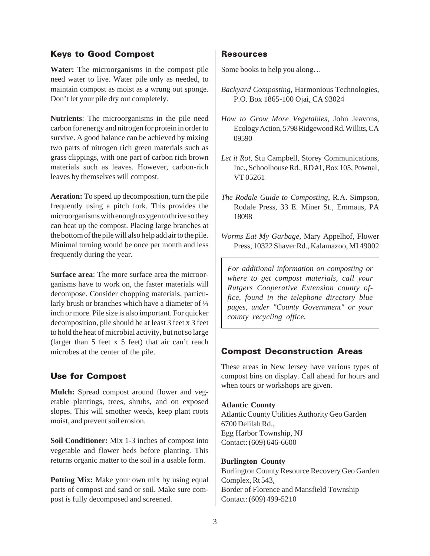#### Keys to Good Compost

**Water:** The microorganisms in the compost pile need water to live. Water pile only as needed, to maintain compost as moist as a wrung out sponge. Don't let your pile dry out completely.

**Nutrients**: The microorganisms in the pile need carbon for energy and nitrogen for protein in order to survive. A good balance can be achieved by mixing two parts of nitrogen rich green materials such as grass clippings, with one part of carbon rich brown materials such as leaves. However, carbon-rich leaves by themselves will compost.

**Aeration:** To speed up decomposition, turn the pile frequently using a pitch fork. This provides the microorganisms with enough oxygen to thrive so they can heat up the compost. Placing large branches at the bottom of the pile will also help add air to the pile. Minimal turning would be once per month and less frequently during the year.

**Surface area**: The more surface area the microorganisms have to work on, the faster materials will decompose. Consider chopping materials, particularly brush or branches which have a diameter of  $\frac{1}{4}$ inch or more. Pile size is also important. For quicker decomposition, pile should be at least 3 feet x 3 feet to hold the heat of microbial activity, but not so large (larger than 5 feet x 5 feet) that air can't reach microbes at the center of the pile.

#### Use for Compost

**Mulch:** Spread compost around flower and vegetable plantings, trees, shrubs, and on exposed slopes. This will smother weeds, keep plant roots moist, and prevent soil erosion.

**Soil Conditioner:** Mix 1-3 inches of compost into vegetable and flower beds before planting. This returns organic matter to the soil in a usable form.

**Potting Mix:** Make your own mix by using equal parts of compost and sand or soil. Make sure compost is fully decomposed and screened.

#### Resources

Some books to help you along…

- *Backyard Composting*, Harmonious Technologies, P.O. Box 1865-100 Ojai, CA 93024
- *How to Grow More Vegetables*, John Jeavons, Ecology Action, 5798 Ridgewood Rd. Willits, CA 09590
- *Let it Rot*, Stu Campbell, Storey Communications, Inc., Schoolhouse Rd., RD #1, Box 105, Pownal, VT 05261
- *The Rodale Guide to Composting*, R.A. Simpson, Rodale Press, 33 E. Miner St., Emmaus, PA 18098
- *Worms Eat My Garbage*, Mary Appelhof, Flower Press, 10322 Shaver Rd., Kalamazoo, MI 49002

*For additional information on composting or where to get compost materials, call your Rutgers Cooperative Extension county office, found in the telephone directory blue pages, under "County Government" or your county recycling office.* 

#### Compost Deconstruction Areas

These areas in New Jersey have various types of compost bins on display. Call ahead for hours and when tours or workshops are given.

#### **Atlantic County**

Atlantic County Utilities Authority Geo Garden 6700 Delilah Rd., Egg Harbor Township, NJ Contact: (609) 646-6600

#### **Burlington County**

Burlington County Resource Recovery Geo Garden Complex, Rt 543, Border of Florence and Mansfield Township Contact: (609) 499-5210